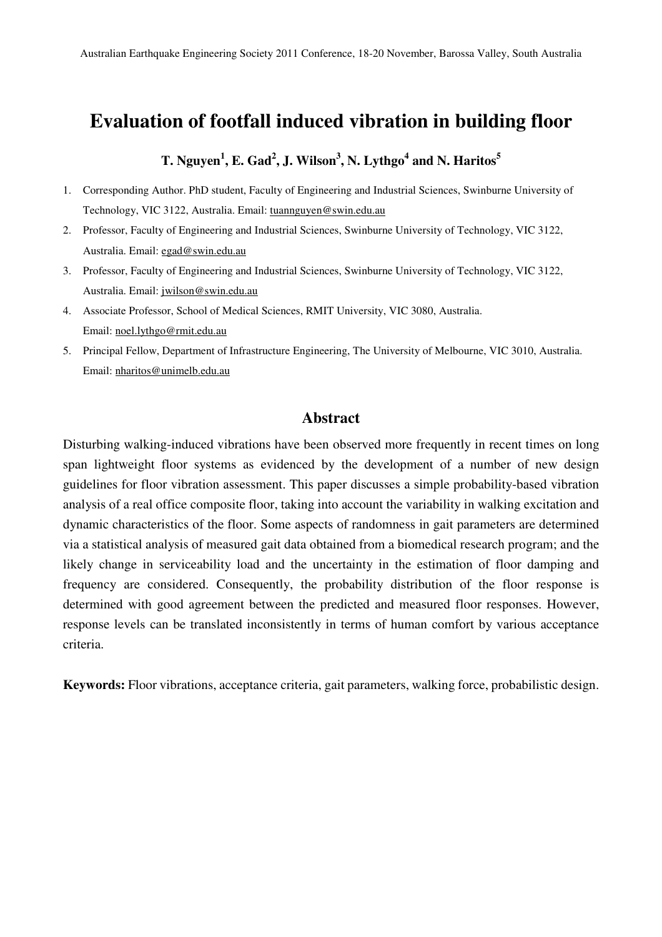# **Evaluation of footfall induced vibration in building floor**

# **T. Nguyen<sup>1</sup> , E. Gad<sup>2</sup> , J. Wilson<sup>3</sup> , N. Lythgo<sup>4</sup> and N. Haritos<sup>5</sup>**

- 1. Corresponding Author. PhD student, Faculty of Engineering and Industrial Sciences, Swinburne University of Technology, VIC 3122, Australia. Email: tuannguyen@swin.edu.au
- 2. Professor, Faculty of Engineering and Industrial Sciences, Swinburne University of Technology, VIC 3122, Australia. Email: egad@swin.edu.au
- 3. Professor, Faculty of Engineering and Industrial Sciences, Swinburne University of Technology, VIC 3122, Australia. Email: jwilson@swin.edu.au
- 4. Associate Professor, School of Medical Sciences, RMIT University, VIC 3080, Australia. Email: noel.lythgo@rmit.edu.au
- 5. Principal Fellow, Department of Infrastructure Engineering, The University of Melbourne, VIC 3010, Australia. Email: nharitos@unimelb.edu.au

# **Abstract**

Disturbing walking-induced vibrations have been observed more frequently in recent times on long span lightweight floor systems as evidenced by the development of a number of new design guidelines for floor vibration assessment. This paper discusses a simple probability-based vibration analysis of a real office composite floor, taking into account the variability in walking excitation and dynamic characteristics of the floor. Some aspects of randomness in gait parameters are determined via a statistical analysis of measured gait data obtained from a biomedical research program; and the likely change in serviceability load and the uncertainty in the estimation of floor damping and frequency are considered. Consequently, the probability distribution of the floor response is determined with good agreement between the predicted and measured floor responses. However, response levels can be translated inconsistently in terms of human comfort by various acceptance criteria.

**Keywords:** Floor vibrations, acceptance criteria, gait parameters, walking force, probabilistic design.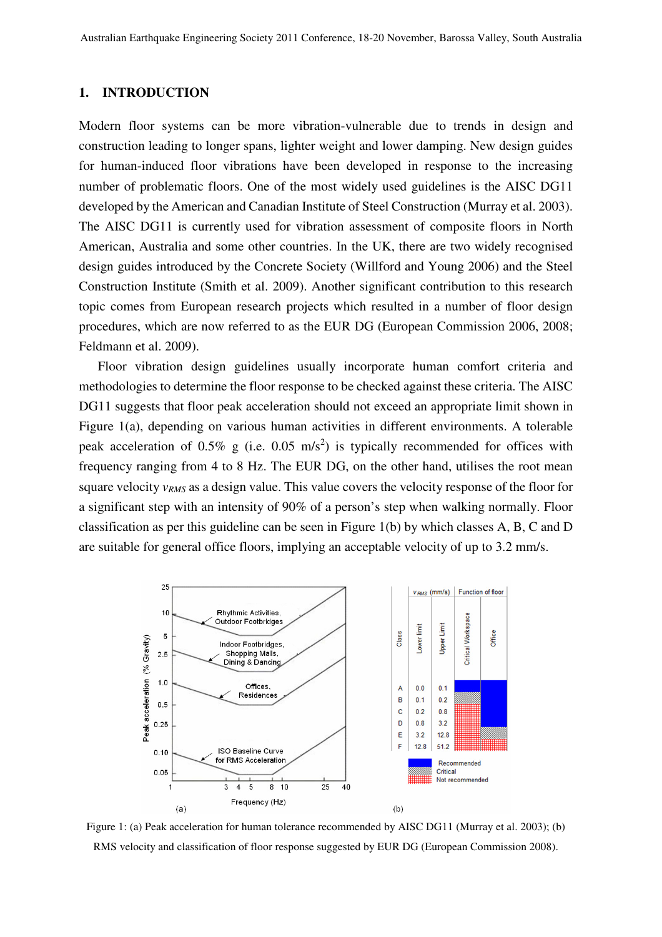## **1. INTRODUCTION**

Modern floor systems can be more vibration-vulnerable due to trends in design and construction leading to longer spans, lighter weight and lower damping. New design guides for human-induced floor vibrations have been developed in response to the increasing number of problematic floors. One of the most widely used guidelines is the AISC DG11 developed by the American and Canadian Institute of Steel Construction (Murray et al. 2003). The AISC DG11 is currently used for vibration assessment of composite floors in North American, Australia and some other countries. In the UK, there are two widely recognised design guides introduced by the Concrete Society (Willford and Young 2006) and the Steel Construction Institute (Smith et al. 2009). Another significant contribution to this research topic comes from European research projects which resulted in a number of floor design procedures, which are now referred to as the EUR DG (European Commission 2006, 2008; Feldmann et al. 2009).

Floor vibration design guidelines usually incorporate human comfort criteria and methodologies to determine the floor response to be checked against these criteria. The AISC DG11 suggests that floor peak acceleration should not exceed an appropriate limit shown in Figure 1(a), depending on various human activities in different environments. A tolerable peak acceleration of 0.5% g (i.e. 0.05 m/s<sup>2</sup>) is typically recommended for offices with frequency ranging from 4 to 8 Hz. The EUR DG, on the other hand, utilises the root mean square velocity *vRMS* as a design value. This value covers the velocity response of the floor for a significant step with an intensity of 90% of a person's step when walking normally. Floor classification as per this guideline can be seen in Figure 1(b) by which classes A, B, C and D are suitable for general office floors, implying an acceptable velocity of up to 3.2 mm/s.



Figure 1: (a) Peak acceleration for human tolerance recommended by AISC DG11 (Murray et al. 2003); (b) RMS velocity and classification of floor response suggested by EUR DG (European Commission 2008).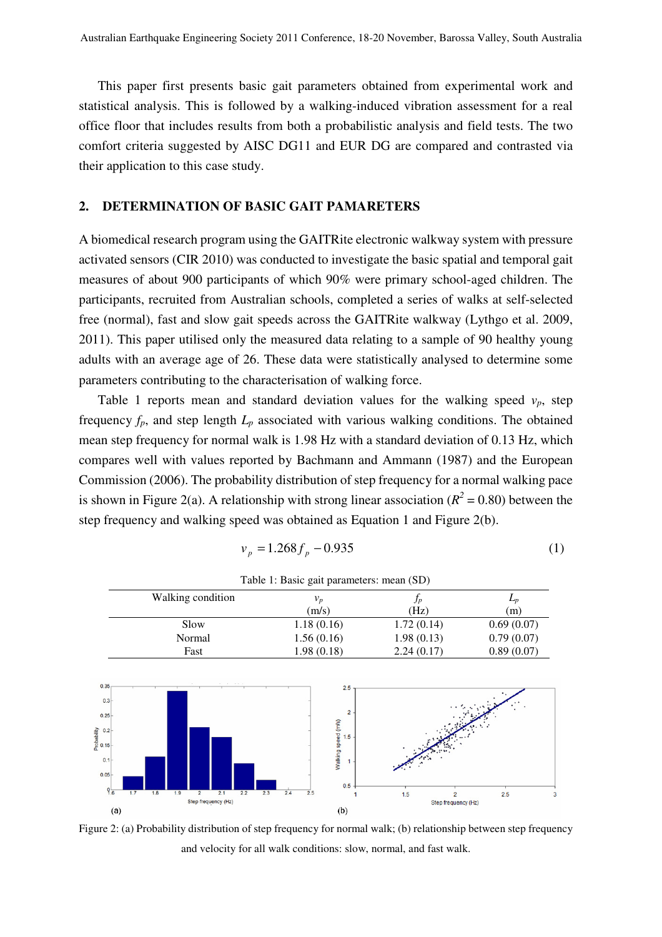This paper first presents basic gait parameters obtained from experimental work and statistical analysis. This is followed by a walking-induced vibration assessment for a real office floor that includes results from both a probabilistic analysis and field tests. The two comfort criteria suggested by AISC DG11 and EUR DG are compared and contrasted via their application to this case study.

#### **2. DETERMINATION OF BASIC GAIT PAMARETERS**

A biomedical research program using the GAITRite electronic walkway system with pressure activated sensors (CIR 2010) was conducted to investigate the basic spatial and temporal gait measures of about 900 participants of which 90% were primary school-aged children. The participants, recruited from Australian schools, completed a series of walks at self-selected free (normal), fast and slow gait speeds across the GAITRite walkway (Lythgo et al. 2009, 2011). This paper utilised only the measured data relating to a sample of 90 healthy young adults with an average age of 26. These data were statistically analysed to determine some parameters contributing to the characterisation of walking force.

Table 1 reports mean and standard deviation values for the walking speed  $v_p$ , step frequency  $f_p$ , and step length  $L_p$  associated with various walking conditions. The obtained mean step frequency for normal walk is 1.98 Hz with a standard deviation of 0.13 Hz, which compares well with values reported by Bachmann and Ammann (1987) and the European Commission (2006). The probability distribution of step frequency for a normal walking pace is shown in Figure 2(a). A relationship with strong linear association ( $R^2$  = 0.80) between the step frequency and walking speed was obtained as Equation 1 and Figure 2(b).

$$
v_p = 1.268 f_p - 0.935\tag{1}
$$

|                                                                                                 | Walking condition |                |                            |            |            | $v_p$      |                                                            |     | $f_p$               | $L_p$      |
|-------------------------------------------------------------------------------------------------|-------------------|----------------|----------------------------|------------|------------|------------|------------------------------------------------------------|-----|---------------------|------------|
|                                                                                                 |                   |                |                            |            |            | (m/s)      |                                                            |     | (Hz)                | (m)        |
|                                                                                                 | Slow<br>Normal    |                |                            |            |            | 1.18(0.16) |                                                            |     | 1.72(0.14)          | 0.69(0.07) |
|                                                                                                 |                   |                |                            |            |            | 1.56(0.16) |                                                            |     | 1.98(0.13)          | 0.79(0.07) |
|                                                                                                 | Fast              |                |                            |            | 1.98(0.18) |            |                                                            |     | 2.24(0.17)          | 0.89(0.07) |
| 0.35<br>$0.3 -$<br>$0.25 -$<br>$rac{2}{\sqrt{10}}$ 0.2<br>$0.1 -$<br>$0.05 -$<br>9 <sub>6</sub> |                   |                |                            |            |            |            | 2.5<br>$\overline{2}$<br>Walking speed (m/s)<br>1.5<br>0.5 |     |                     |            |
| 1.7                                                                                             | 1.8<br>1.9        | $\overline{2}$ | 2.1<br>Step frequency (Hz) | 2.2<br>2.3 | 2.4        | 2.5        |                                                            | 1.5 | Step frequency (Hz) | 2.5        |
| (a)                                                                                             |                   |                |                            |            |            |            | (b)                                                        |     |                     |            |

Table 1: Basic gait parameters: mean (SD)

Figure 2: (a) Probability distribution of step frequency for normal walk; (b) relationship between step frequency and velocity for all walk conditions: slow, normal, and fast walk.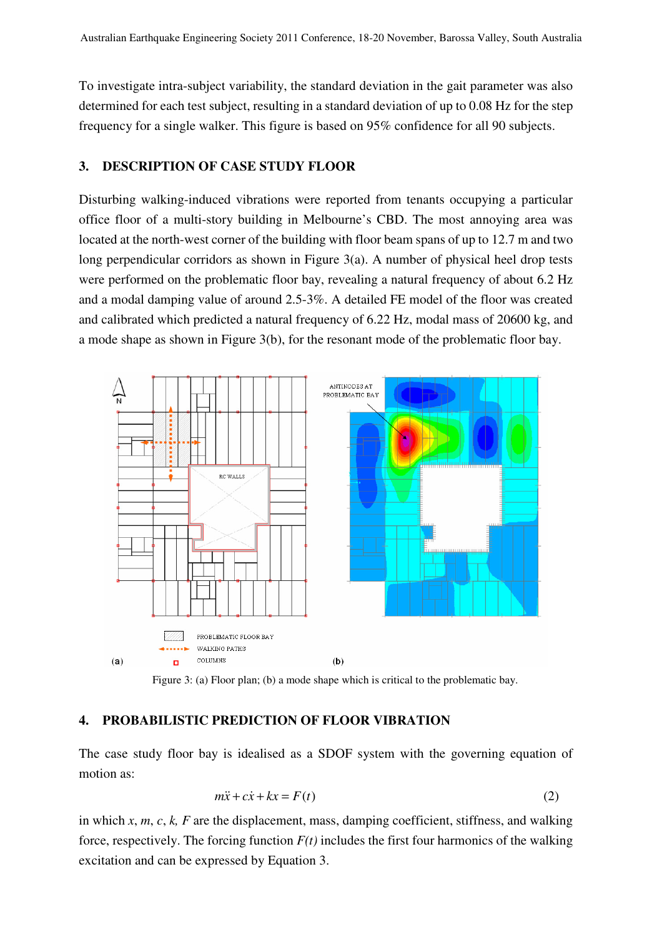To investigate intra-subject variability, the standard deviation in the gait parameter was also determined for each test subject, resulting in a standard deviation of up to 0.08 Hz for the step frequency for a single walker. This figure is based on 95% confidence for all 90 subjects.

# **3. DESCRIPTION OF CASE STUDY FLOOR**

Disturbing walking-induced vibrations were reported from tenants occupying a particular office floor of a multi-story building in Melbourne's CBD. The most annoying area was located at the north-west corner of the building with floor beam spans of up to 12.7 m and two long perpendicular corridors as shown in Figure 3(a). A number of physical heel drop tests were performed on the problematic floor bay, revealing a natural frequency of about 6.2 Hz and a modal damping value of around 2.5-3%. A detailed FE model of the floor was created and calibrated which predicted a natural frequency of 6.22 Hz, modal mass of 20600 kg, and a mode shape as shown in Figure 3(b), for the resonant mode of the problematic floor bay.



Figure 3: (a) Floor plan; (b) a mode shape which is critical to the problematic bay.

#### **4. PROBABILISTIC PREDICTION OF FLOOR VIBRATION**

The case study floor bay is idealised as a SDOF system with the governing equation of motion as:

$$
m\ddot{x} + c\dot{x} + kx = F(t)
$$
 (2)

in which *x*, *m*, *c*, *k, F* are the displacement, mass, damping coefficient, stiffness, and walking force, respectively. The forcing function  $F(t)$  includes the first four harmonics of the walking excitation and can be expressed by Equation 3.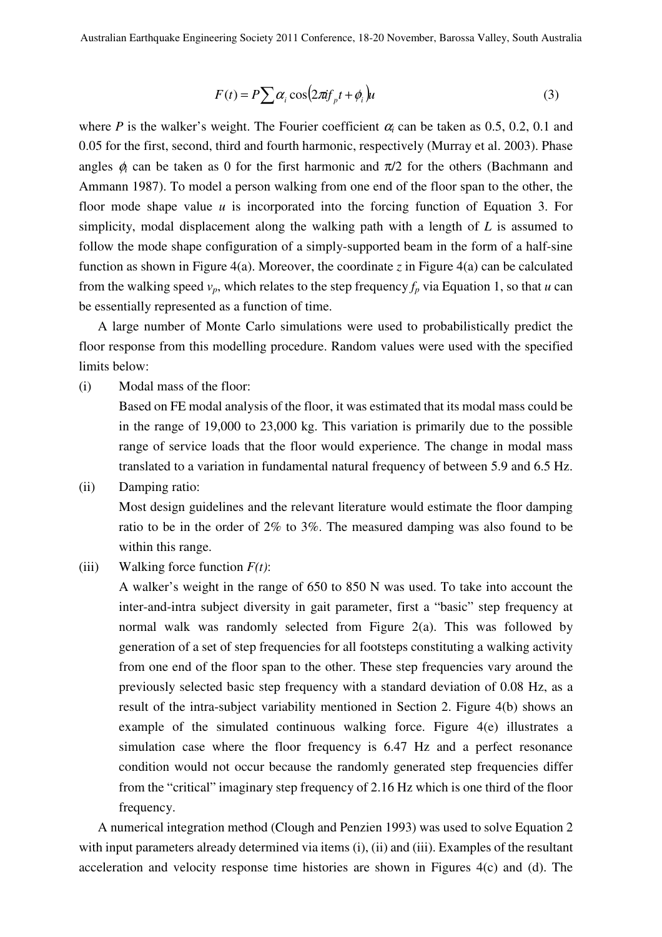$$
F(t) = P \sum \alpha_i \cos(2\pi i f_p t + \phi_i) u \tag{3}
$$

where *P* is the walker's weight. The Fourier coefficient  $\alpha_i$  can be taken as 0.5, 0.2, 0.1 and 0.05 for the first, second, third and fourth harmonic, respectively (Murray et al. 2003). Phase angles  $\phi_i$  can be taken as 0 for the first harmonic and  $\pi/2$  for the others (Bachmann and Ammann 1987). To model a person walking from one end of the floor span to the other, the floor mode shape value *u* is incorporated into the forcing function of Equation 3. For simplicity, modal displacement along the walking path with a length of *L* is assumed to follow the mode shape configuration of a simply-supported beam in the form of a half-sine function as shown in Figure 4(a). Moreover, the coordinate *z* in Figure 4(a) can be calculated from the walking speed  $v_p$ , which relates to the step frequency  $f_p$  via Equation 1, so that *u* can be essentially represented as a function of time.

A large number of Monte Carlo simulations were used to probabilistically predict the floor response from this modelling procedure. Random values were used with the specified limits below:

(i) Modal mass of the floor:

Based on FE modal analysis of the floor, it was estimated that its modal mass could be in the range of 19,000 to 23,000 kg. This variation is primarily due to the possible range of service loads that the floor would experience. The change in modal mass translated to a variation in fundamental natural frequency of between 5.9 and 6.5 Hz.

(ii) Damping ratio:

Most design guidelines and the relevant literature would estimate the floor damping ratio to be in the order of 2% to 3%. The measured damping was also found to be within this range.

(iii) Walking force function  $F(t)$ :

A walker's weight in the range of 650 to 850 N was used. To take into account the inter-and-intra subject diversity in gait parameter, first a "basic" step frequency at normal walk was randomly selected from Figure 2(a). This was followed by generation of a set of step frequencies for all footsteps constituting a walking activity from one end of the floor span to the other. These step frequencies vary around the previously selected basic step frequency with a standard deviation of 0.08 Hz, as a result of the intra-subject variability mentioned in Section 2. Figure 4(b) shows an example of the simulated continuous walking force. Figure 4(e) illustrates a simulation case where the floor frequency is 6.47 Hz and a perfect resonance condition would not occur because the randomly generated step frequencies differ from the "critical" imaginary step frequency of 2.16 Hz which is one third of the floor frequency.

A numerical integration method (Clough and Penzien 1993) was used to solve Equation 2 with input parameters already determined via items (i), (ii) and (iii). Examples of the resultant acceleration and velocity response time histories are shown in Figures 4(c) and (d). The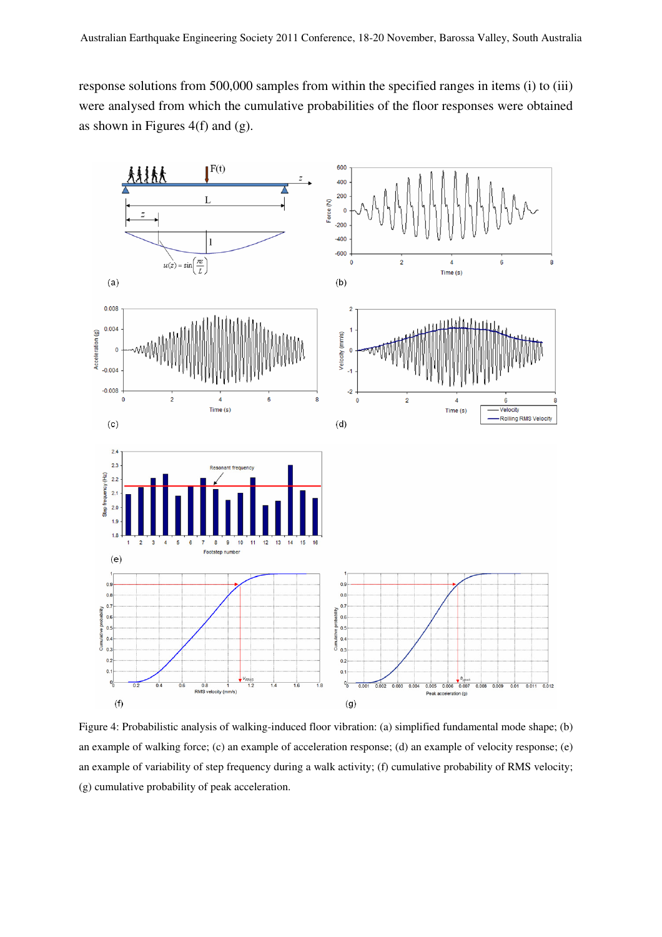response solutions from 500,000 samples from within the specified ranges in items (i) to (iii) were analysed from which the cumulative probabilities of the floor responses were obtained as shown in Figures 4(f) and (g).



Figure 4: Probabilistic analysis of walking-induced floor vibration: (a) simplified fundamental mode shape; (b) an example of walking force; (c) an example of acceleration response; (d) an example of velocity response; (e) an example of variability of step frequency during a walk activity; (f) cumulative probability of RMS velocity; (g) cumulative probability of peak acceleration.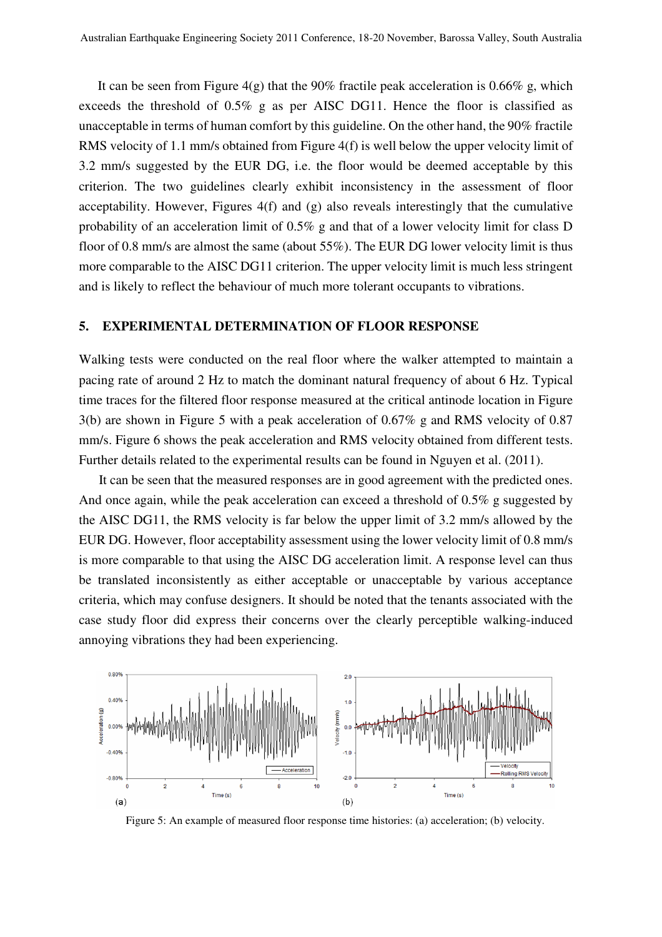It can be seen from Figure  $4(g)$  that the 90% fractile peak acceleration is 0.66% g, which exceeds the threshold of 0.5% g as per AISC DG11. Hence the floor is classified as unacceptable in terms of human comfort by this guideline. On the other hand, the 90% fractile RMS velocity of 1.1 mm/s obtained from Figure 4(f) is well below the upper velocity limit of 3.2 mm/s suggested by the EUR DG, i.e. the floor would be deemed acceptable by this criterion. The two guidelines clearly exhibit inconsistency in the assessment of floor acceptability. However, Figures 4(f) and (g) also reveals interestingly that the cumulative probability of an acceleration limit of 0.5% g and that of a lower velocity limit for class D floor of 0.8 mm/s are almost the same (about 55%). The EUR DG lower velocity limit is thus more comparable to the AISC DG11 criterion. The upper velocity limit is much less stringent and is likely to reflect the behaviour of much more tolerant occupants to vibrations.

## **5. EXPERIMENTAL DETERMINATION OF FLOOR RESPONSE**

Walking tests were conducted on the real floor where the walker attempted to maintain a pacing rate of around 2 Hz to match the dominant natural frequency of about 6 Hz. Typical time traces for the filtered floor response measured at the critical antinode location in Figure 3(b) are shown in Figure 5 with a peak acceleration of 0.67% g and RMS velocity of 0.87 mm/s. Figure 6 shows the peak acceleration and RMS velocity obtained from different tests. Further details related to the experimental results can be found in Nguyen et al. (2011).

It can be seen that the measured responses are in good agreement with the predicted ones. And once again, while the peak acceleration can exceed a threshold of 0.5% g suggested by the AISC DG11, the RMS velocity is far below the upper limit of 3.2 mm/s allowed by the EUR DG. However, floor acceptability assessment using the lower velocity limit of 0.8 mm/s is more comparable to that using the AISC DG acceleration limit. A response level can thus be translated inconsistently as either acceptable or unacceptable by various acceptance criteria, which may confuse designers. It should be noted that the tenants associated with the case study floor did express their concerns over the clearly perceptible walking-induced annoying vibrations they had been experiencing.



Figure 5: An example of measured floor response time histories: (a) acceleration; (b) velocity.